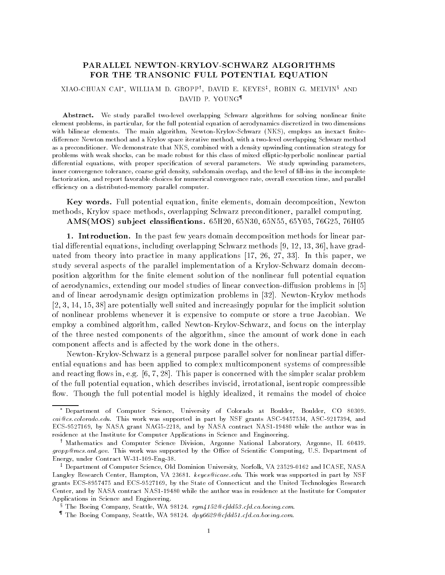# FOR THE TRANSONIC FULL POTENTIAL EQUATION

## AIAO-CHUAN CAI , WILLIAM D. GROPP', DAVID E. KEYES', KOBIN G. MELVIN°AND DAVID P- YOUNG

Abstract. We study parallel two-level overlapping Schwarz algorithms for solving nonlinear finite element problems, in particular, for the full potential equation of aerodynamics discretized in two dimensions with bilinear elements-independent  $\mathcal{X}$  algorithm Newton Newton  $\mathcal{Y}$  and inexact nite  $\mathcal{Y}$ difference Newton method and a Krylov space iterative method, with a two-level overlapping Schwarz method as a preconditioner- We demonstrate that NKS combined with a density upwinding continuation strategy for problems with weak shocks, can be made robust for this class of mixed elliptic-hyperbolic nonlinear partial dierential equations with proper specification of several parameters- with study upwinding parametersinner convergence tolerance, coarse grid density, subdomain overlap, and the level of fill-ins in the incomplete factorization, and report favorable choices for numerical convergence rate, overall execution time, and parallel efficiency on a distributed-memory parallel computer.

Key words. Full potential equation, finite elements, domain decomposition, Newton methods, Krylov space methods, overlapping Schwarz preconditioner, parallel computing.

ams- a general particles are constantly and a very one of the second computer of the second

1. Introduction. In the past few years domain decomposition methods for linear partime and the continues of the continuity of the control of the continues are in the continued of the continues unities are not the restriction of the manner, replacements and the restrictions of the paper were well as a s study several aspects of the parallel implementation of a Krylov-Schwarz domain decomposition algorithm for the nite element solution of the nonlinear full potential equation of aerodynamics extending our model studies of linear convection di usion problems in and of linear aerodynamic design optimization problems in - Newton Krylov methods  $[2, 3, 14, 15, 38]$  are potentially well suited and increasingly popular for the implicit solution of non-non-the problems whenever it is expensive to compute or store a true or store and the store  $\cdots$ employ a combined algorithm, called Newton-Krylov-Schwarz, and focus on the interplay of the three nested components of the algorithm, since the amount of work done in each ected by the component and is a component of the work does not the component

Newton Krylov Schwarz is a general purpose parallel solver for nonlinear partial di er ential equations and has been applied to complex multicomponent systems of compressible and reacting over its paper is the simple with the simpler scalar concerned with  $\alpha$  and  $\beta$  are simplered with the simple  $\alpha$ of the full potential equation, which describes inviscid, irrotational, isentropic compressible ow- Though the full potential model is highly idealized it remains the model of choice

<sup>-</sup> Department of Computer Science, University of Colorado at Boulder, Boulder, CO 80309.  $\Box$  This work was supported in part by NSF grants ASC grants ASC grants ASC grants ASC grants ASC grants ASC grants ASC grants ASC grants ASC grants ASC grants ASC grants ASC grants ASC grants ASC grants ASC grants ASC g ECS-9527169, by NASA grant NAG5-2218, and by NASA contract NAS1-19480 while the author was in residence at the Institute for Computer Applications in Science and Engineering-

<sup>&#</sup>x27; Mathematics and Computer Science Division, Argonne National Laboratory, Argonne, IL 60439. gropp controlling to computing was supported by the Oceanic Computing U-C-Oceanic Computing U-C-Oceanic Comput Energy under Contract W Eng -

t Department of Computer Science, Old Dominion University, Norfolk, VA 23529-0162 and ICASE, NASA to Langley Research Center Hampton VA - keyesicaseedu- This work was supported in part by NSF grants ECS-8957475 and ECS-9527169, by the State of Connecticut and the United Technologies Research Center, and by NASA contract NAS1-19480 while the author was in residence at the Institute for Computer Applications in Science and Engineering-

 $\degree$  The Boeing Company, Seattle, WA 98124. rgm4152@cfdd53.cfd.cd.boeing.com.

<sup>&</sup>quot; The Boeing Company, Seattle, WA 98124.  $dpyb629 \ll cfdd51.cfd.ca.boeing.com$ .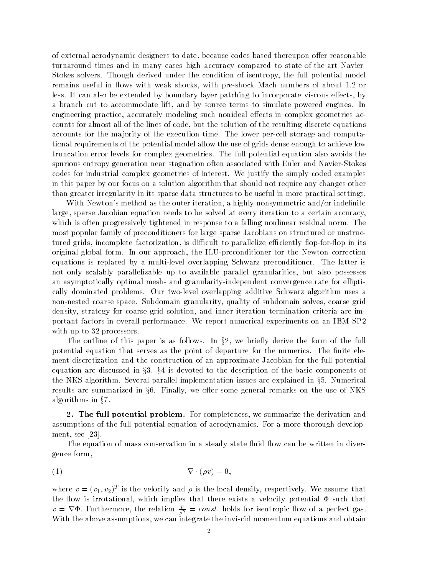of external aerodynamic designers to date because codes based thereupon o er reasonable turnaround times and in many cases high accuracy compared to state-of-the-art Navierstocker solvers- ware again derived under the condition of isentropy the full potential model of remains useful in our control in our control in our control in our control in our control in the shock material ects et can also be extended by boundary layer patterney to incorporate viscous extending to a branch cut to accommodate motor and by source terms to simulate powered engines- and engineering practice accurately modeling such nonideal e ects in complex geometries ac counts for almost all of the lines of code, but the solution of the resulting discrete equations accounts for the man jority of the execution time- time-  $\alpha$  and the performance and computation to the computation tional requirements of the potential model allow the use of grids dense enough to achieve low truncation error levels for complexed geometries- the full potential equation avoid the full potential equation spurious entropy generation near stagnation often associated with Euler and Navier-Stokes codes for industrial complex geometries of interest- We justify the simply coded examples in this paper by our focus on a solution algorithm that should not require any changes other than greater irregularity in its sparse data structures to be useful in more practical settings-

With Newton's method as the outer iteration, a highly nonsymmetric and/or indefinite large, sparse Jacobian equation needs to be solved at every iteration to a certain accuracy, which is often progressively tightened in response to a falling nonlinear residual normmost popular family of preconditioners for large sparse Jacobians on structured or unstruc tured grids, incomplete factorization, is difficult to parallelize efficiently flop-for-flop in its original grobal form the ILU present in the ILU and the ILU present the ILU and the ILU correction equations is replaced byamulti level overlapping Schwarz preconditioner- The latter is not only scalably parallelizable up to available parallel granularities, but also possesses an asymptotically optimal mesh- and granularity-independent convergence rate for elliptically dominated problems-box dominated problems-schwarz additive Schwarz algorithm uses additional and the Schwarz algorithm uses and the Schwarz algorithm uses and the Schwarz algorithm uses and the Schwarz algorithm uses non norse coarse space-a non nomine granularity quality of subdomain solves coat solves group density, strategy for coarse grid solution, and inner iteration termination criteria are important factors in overall performance- over the indicated in IBM SP and IBM SP and IBM SP and IBM SP and IBM S with up to  $32$  processors.

The outline of this paper is as follows. In  $\S 2$ , we briefly derive the form of the full potential equation that serves as the point of departure for the numerics- The nite ele ment discretization and the construction of an approximate Jacobian for the full potential equation are discussed in §3. §4 is devoted to the description of the basic components of  $\,$ the NKS algorithm. Several parallel implementation issues are explained in §5. Numerical results are summarized in §6. Finally, we offer some general remarks on the use of NKS  $\,$ algorithms in  $\S7$ .

2. The full potential problem. For completeness, we summarize the derivation and assumptions of the full potential equation of aerodynamics-  $\mathcal{F}$  are a more thorough develops ment, see  $[23]$ .

The equation of mass conservation in a steady state fluid flow can be written in divergence form

$$
\nabla \cdot (\rho v) = 0,
$$

where  $v = (v_1, v_2)$  is the velocity and  $\rho$  is the local density, respectively. We assume that the flow is irrotational, which implies that there exists a velocity potential  $\Phi$  such that  $v = \nabla \Phi$ . Furthermore, the relation  $\frac{p}{\rho^{\gamma}} = const.$  holds for isentropic flow of a perfect gas. With the above assumptions, we can integrate the inviscid momentum equations and obtain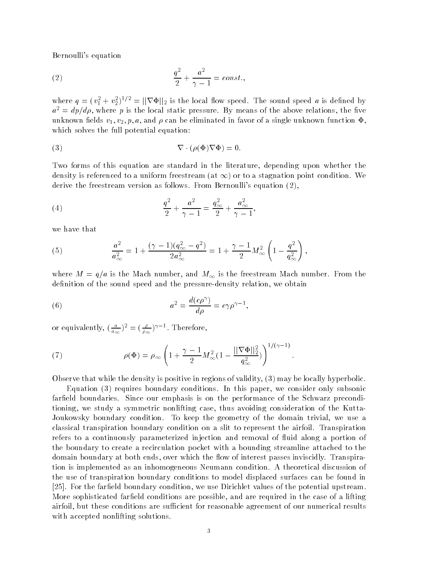Bernoulli's equation

$$
\frac{q^2}{2} + \frac{a^2}{\gamma - 1} = const.
$$

where  $q = (v_1^2 + v_2^2)^{1/2} = ||\nabla \Phi||_2$  is the local flow speed. The sound speed a is defined by  $a^2 \equiv a p / a \rho$ , where  $p$  is the local static pressure. By means of the above relations, the live unknown fields  $v_1, v_2, p, a$ , and  $\rho$  can be eliminated in favor of a single unknown function  $\Phi$ , which solves the full potential equation:

(3) 
$$
\nabla \cdot (\rho(\Phi) \nabla \Phi) = 0.
$$

Two forms of this equation are standard in the literature, depending upon whether the density is referenced to a uniform freestream (at  $\infty$  ) or to a stagnation point condition. We derive the freestream version as follows- From Bernoullis equation

(4) 
$$
\frac{q^2}{2} + \frac{a^2}{\gamma - 1} = \frac{q_{\infty}^2}{2} + \frac{a_{\infty}^2}{\gamma - 1},
$$

we have that

(5) 
$$
\frac{a^2}{a_{\infty}^2} = 1 + \frac{(\gamma - 1)(q_{\infty}^2 - q^2)}{2a_{\infty}^2} = 1 + \frac{\gamma - 1}{2}M_{\infty}^2 \left(1 - \frac{q^2}{q_{\infty}^2}\right),
$$

where  $\alpha$  is the Mach number and M is the free  $\alpha$  is the free free free mach number of the free free  $\alpha$ definition of the sound speed and the pressure-density relation, we obtain

(6) 
$$
a^2 = \frac{d(c\rho^{\gamma})}{d\rho} = c\gamma\rho^{\gamma-1},
$$

or equivalently,  $\left(\frac{a}{a_{\infty}}\right)^2 = \left(\frac{r}{\rho_{\infty}}\right)^{\frac{1}{2}}$ . Therefore,

(7) 
$$
\rho(\Phi) = \rho_{\infty} \left( 1 + \frac{\gamma - 1}{2} M_{\infty}^2 (1 - \frac{||\nabla \Phi||_2^2}{q_{\infty}^2}) \right)^{1/(\gamma - 1)}.
$$

Observe that while the density is positive in regions of validity,  $(3)$  may be locally hyperbolic.

Equation requires boundary conditions- In this paper we consider only subsonic fareld boundaries- Since our emphasis is on the performance of the Schwarz precondi tioning, we study a symmetric nonlifting case, thus avoiding consideration of the Kutta-Joukowsky boundary condition- To keep the geometry of the domain trivial we use a classical transpiration boundary condition on a slit to represent the airfoil- Transpiration refers to a continuously parameterized injection and removal of fluid along a portion of the boundary to create a recirculation pocket with a bounding streamline attached to the domain boundary at both ends over which the ow of interest passes inviscidly- Transpira tion is implemented as an inhomogeneous Neumann condition- A theoretical discussion of the use of transpiration boundary conditions to model displaced surfaces can be found in - For the fareld boundary condition we use Dirichlet values of the potential upstream-More sophisticated farfield conditions are possible, and are required in the case of a lifting airfoil, but these conditions are sufficient for reasonable agreement of our numerical results with accepted nonlifting solutions.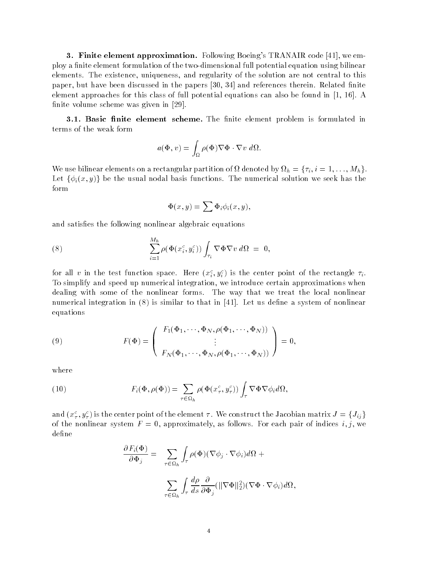**3. Finite element approximation.** Following Boeing's TRANAIR code [41], we employ a finite element formulation of the two-dimensional full potential equation using bilinear elements- the existence uniquence uniquence  $\mathbf{r}$  and  $\mathbf{r}$  are not central to the solution are not central to this paper but have been discussed in the papers and references therein- Related nite element approaches for this class of full potential equations can also be found in 

- A finite volume scheme was given in  $[29]$ .

3.1. Basic finite element scheme. The finite element problem is formulated in terms of the weak form

$$
a(\Phi, v) = \int_{\Omega} \rho(\Phi) \nabla \Phi \cdot \nabla v \, d\Omega.
$$

We use bilinear elements on a rectangular partition of  $\Omega$  denoted by  $\Omega_h = \{\tau_i, i = 1, \ldots, M_h\}$ . Let  $\{\phi_i(x, y)\}$  be the usual nodal basis functions. The numerical solution we seek has the form

$$
\Phi(x, y) = \sum \Phi_i \phi_i(x, y),
$$

and satisfies the following nonlinear algebraic equations

(8) 
$$
\sum_{i=1}^{M_h} \rho(\Phi(x_i^c, y_i^c)) \int_{\tau_i} \nabla \Phi \nabla v \, d\Omega = 0,
$$

for all  $v$  in the test function space. Here  $(x_i^*,y_i^*)$  is the center point of the rectangle  $i_i$ . To simplify and speed up numerical integration, we introduce certain approximations when dealing with some of the mathematic forms-  $\sim$  the way that we the local non-local non- $\mathbf{1}$ numerical integration in the integration in the system of non-linear to that in the system of non-linear to the system of non-linear terms of non-linear terms of non-linear terms of non-linear terms of non-linear equations

(9) 
$$
F(\Phi) = \begin{pmatrix} F_1(\Phi_1, \cdots, \Phi_N, \rho(\Phi_1, \cdots, \Phi_N)) \\ \vdots \\ F_N(\Phi_1, \cdots, \Phi_N, \rho(\Phi_1, \cdots, \Phi_N)) \end{pmatrix} = 0,
$$

where

(10) 
$$
F_i(\Phi, \rho(\Phi)) = \sum_{\tau \in \Omega_h} \rho(\Phi(x_\tau^c, y_\tau^c)) \int_\tau \nabla \Phi \nabla \phi_i d\Omega,
$$

and  $(x_\tau^c, y_\tau^c)$  is the center point of the element  $\tau$  . We construct the Jacobian matrix  $J = \{J_{ij}\}$ of the nominour system F approximately as follows-for each pair of indices  $\alpha_{ij}$  we define

$$
\frac{\partial F_i(\Phi)}{\partial \Phi_j} = \sum_{\tau \in \Omega_h} \int_{\tau} \rho(\Phi) (\nabla \phi_j \cdot \nabla \phi_i) d\Omega +
$$

$$
\sum_{\tau \in \Omega_h} \int_{\tau} \frac{d\rho}{ds} \frac{\partial}{\partial \Phi_j} (\|\nabla \Phi\|_2^2) (\nabla \Phi \cdot \nabla \phi_i) d\Omega,
$$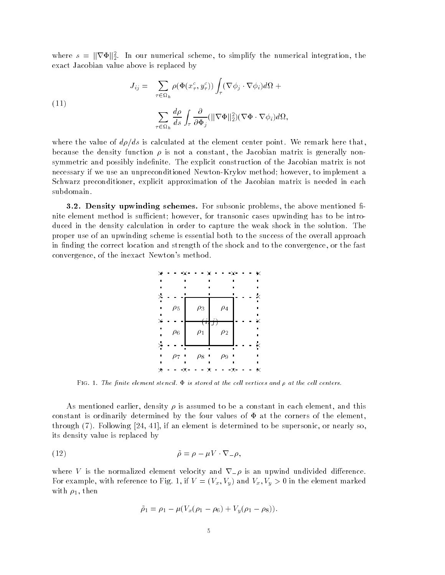where  $s = \|\nabla \Phi\|_2^2$ . In our numerical scheme, to simplify the numerical integration, the exact Jacobian value above is replaced by

(11)  

$$
J_{ij} = \sum_{\tau \in \Omega_h} \rho(\Phi(x_{\tau}^c, y_{\tau}^c)) \int_{\tau} (\nabla \phi_j \cdot \nabla \phi_i) d\Omega + \sum_{\tau \in \Omega_h} \frac{d\rho}{ds} \int_{\tau} \frac{\partial}{\partial \Phi_j} (\|\nabla \Phi\|_2^2) (\nabla \Phi \cdot \nabla \phi_i) d\Omega,
$$

where the value of dg is the element calculated at the element point-  $\alpha$  from the element  $\alpha$ because the density function  $\rho$  is not a constant, the Jacobian matrix is generally nonsymmetric and possibly indenite- The explicit construction of the Jacobian matrix is not necessary if we use an unpreconditioned Newton-Krylov method; however, to implement a Schwarz preconditioner, explicit approximation of the Jacobian matrix is needed in each subdomain.

**3.2. Density upwinding schemes.** For subsonic problems, the above mentioned finite element method is sufficient; however, for transonic cases upwinding has to be introduced in the density calculation in order to capture the weak shock in the solution  $\sim$ proper use of an upwinding scheme is essential both to the success of the overall approach in finding the correct location and strength of the shock and to the convergence, or the fast convergence, of the inexact Newton's method.



Fig - The nite element stencil is stored at the cel l vertices and at the cel l centers

As mentioned earlier, density  $\rho$  is assumed to be a constant in each element, and this constant is ordinarily determined by the four values of  $\Phi$  at the corners of the element, through - Following 
 if an element is determined to be supersonic or nearly so its density value is replaced by

$$
\tilde{\rho} = \rho - \mu V \cdot \nabla_{-} \rho,
$$

where V is the normalized element velocity and  $\nabla_{\perp} \rho$  is an upwind undivided difference. For example, with reference to Fig- Fig-  $\cdots$  (  $\gamma$  )  $\gamma$  ) with  $\gamma$   $\gamma$  )  $\gamma$  . O in the element marked with  $\rho_1$ , then

$$
\tilde{\rho}_1 = \rho_1 - \mu(V_x(\rho_1 - \rho_6) + V_y(\rho_1 - \rho_8)).
$$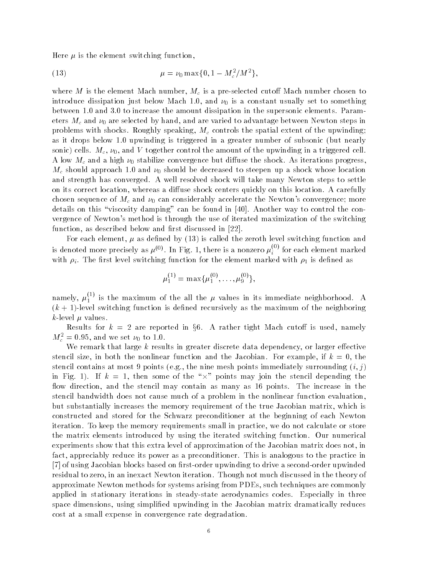Here  $\mu$  is the element switching function,

(13) 
$$
\mu = \nu_0 \max\{0, 1 - M_c^2/M^2\},
$$

where the Mach number machine machine and and the Water and the cutoff cutoff cutoff cutoff cutoff cutoff cutoff introduce dissipation just below Mach and Lie is a constant usually set to something  $\alpha$ between 
- and - to increase the amount dissipation in the supersonic elements- Param eters and are selected to and are varied to and are varied to advantage a construction steps in the steps in problems with spectrum and many spectrum  $\Theta$  and the spectrum methods the spectrum of the spectrum  $\Theta$  ) as it drops below the upwinding is triggered in greater in a constant (but nearly sonic cells- and V together control the amount of the appearance cell-the amount of the upper control to the c th and and a money a convergence but discussed and and and and and and all the shock-all progress) and and approach approach and and the decreased to steepen up a shock whose locations whose location and continued and strength has converged-to an will take many new that the shock will take many  $\alpha$ on its correct location whereas a distribution whereas a distribution-location-location-location-location-locationchosen sequence of Mc and Constant constants considerably accelerate the Newtons considerably more c details on this viscosity damping can be found in - Another way to control the con vergence of Newton's method is through the use of iterated maximization of the switching function, as described below and first discussed in  $[22]$ .

For each element,  $\mu$  as defined by (13) is called the zeroth level switching function and is denoted more precisely as  $\mu^{(0)}$ . In Fig. 1, there is a nonzero  $\mu_i^{\scriptscriptstyle\vee}$  ' for each element marked with it is retrieved so retrieved with the element  $\mathcal{L}_{\text{max}}$  is denoted as a set of the element mass  $\mathcal{L}_{\text{max}}$ 

$$
\mu_1^{(1)} = \max{\{\mu_1^{(0)}, \ldots, \mu_9^{(0)}\}},
$$

namely,  $\mu_{1}^{\ast}$  's the maximum of the all the  $\mu$  values in its immediate neighborhood. A  $(k + 1)$ -level switching function is defined recursively as the maximum of the neighboring  $k$ -level  $\mu$  values.

Results for  $k\ =\ 2$  are reported in §6. A rather tight Mach cutoff is used, namely  $m_c = 0.95$ , and we set  $\nu_0$  to i.u.

we remark that remark the metallicity of the discrete discrete dependency, so larger externes to stencil size in both the nonlinear function and the Jacobian- For example if <sup>k</sup> the stencie component at most a bannel (algulant most most bannel menne annotal surrounding it! ) . in Fig. 1). If  $k = 1$ , then some of the "X" points may join the stencil depending the ow direction and the stencil may contain as many as 
 points- The increase in the stencil bandwidth does not cause much of a problem in the nonlinear function evaluation but substantially increases the memory requirement of the true Jacobian matrix, which is constructed and stored for the Schwarz preconditioner at the beginning of each Newton iteration- To keep the memory requirements small in practice we do not calculate or store  $\mathcal{L}$ experiments show that this extra level of approximation of the Jacobian matrix does not in fact appreciably reduce its power as a preconditioner- This is analogous to the practice in [7] of using Jacobian blocks based on first-order upwinding to drive a second-order upwinded residual to zero in an interation-discussed in the thought not construct the theory of the theory of the theory approximate Newton methods for systems arising from PDEs such techniques are commonly applied in stationary iterations in steady state aerodynamics codes- Especially in three space dimensions, using simplified upwinding in the Jacobian matrix dramatically reduces cost at a small expense in convergence rate degradation-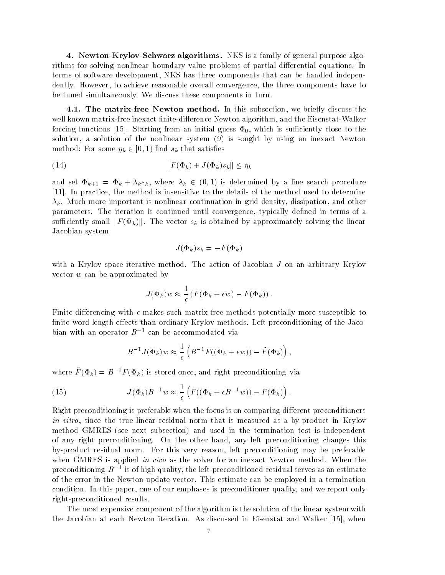4. Newton-Krylov-Schwarz algorithms. NKS is a family of general purpose algorithms for solving nonlinear boundary value problems of partial di erential equations- In terms of software development, NKS has three components that can be handled independently- However to achieve reasonable overall convergence the three components have to be tuned simultaneously- We discuss these components in turn-

4.1. The matrix-free Newton method. In this subsection, we briefly discuss the were the commutative interaction of the Eisenstate algorithm and the Eisenstate Interaction and the Eisenstate forcing functions 
- Starting from an initial guess 
 which is suciently close to the solution, a solution of the nonlinear system  $(9)$  is sought by using an inexact Newton method: For some  $\eta_k \in [0,1)$  find  $s_k$  that satisfies

kF k Jk skk <sup>k</sup>

and set  $\Phi_{k+1} = \Phi_k + \lambda_k s_k$ , where  $\lambda_k \in (0,1)$  is determined by a line search procedure - In practice the method is insensitive to the details of the method used to determine k- Much more important is nonlinear continuation in grid density dissipation and other parameters- The iteration is continued until convergence typically dened in terms of a sufficiently small  $||F(\Phi_k)||$ . The vector  $s_k$  is obtained by approximately solving the linear Jacobian system

$$
J(\Phi_k)s_k = -F(\Phi_k)
$$

with a Krylov space iterative methods of Antonio arbitrary Constants of Jacobian Jacobian Jacobian Jacobian J vector <sup>w</sup> can be approximated by

$$
J(\Phi_k)w \approx \frac{1}{\epsilon} \left( F(\Phi_k + \epsilon w) - F(\Phi_k) \right).
$$

rencing with the control of the matrix matrix more such matrix and provided to more provided to the control of nite word length e ects than ordinary Krylov methods- Left preconditioning of the Jaco bian with an operator  $B^{-1}$  can be accommodated via

$$
B^{-1}J(\Phi_k)w \approx \frac{1}{\epsilon}\left(B^{-1}F((\Phi_k+\epsilon w))-\tilde{F}(\Phi_k)\right),
$$

where  $F(\Psi_k) = B - F(\Psi_k)$  is stored once, and right preconditioning via

(15) 
$$
J(\Phi_k)B^{-1}w \approx \frac{1}{\epsilon}\left(F((\Phi_k + \epsilon B^{-1}w)) - F(\Phi_k)\right).
$$

Right preconditioning is preferable when the focus is on comparing di erent preconditioners in vitro, since the true linear residual norm that is measured as a by-product in Krylov method GMRES (see next subsection) and used in the termination test is independent of any right preconditioning- On the other hand any left preconditioning changes this  $\alpha$  , product residual normal reason left preferable preferences  $\alpha$  and  $\beta$  are preferences when GMRESHS is applied we too as the solver for an inexact Theorem incontour when the preconditioning  $B^{-1}$  is of high quality, the left-preconditioned residual serves as an estimate of the error in the Newton update vector- This estimate can be employed in a termination condition- In this paper one of our emphases is preconditioner quality and we report only right-preconditioned results.

The most expensive component of the algorithm is the solution of the linear system with the Jacobian at each Newton iteration- As discussed in Eisenstat and Walker 
 when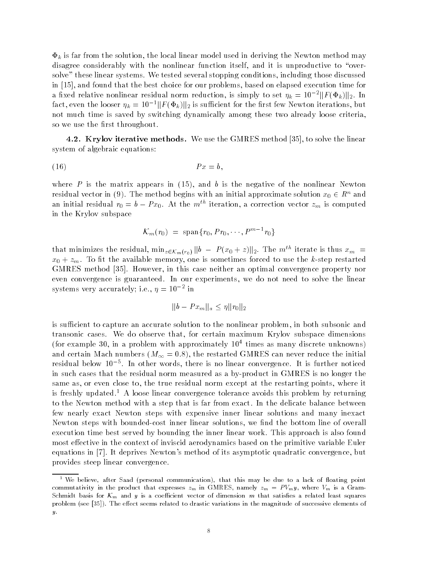$\Phi_k$  is far from the solution, the local linear model used in deriving the Newton method may disagree considerably with the nonlinear function itself, and it is unproductive to "oversolve these conditions are the stopping conditions including those discussed that including the conditions of in [15], and found that the best choice for our problems, based on elapsed execution time for a fixed relative nonlinear residual norm reduction, is simply to set  $\eta_k = 10^{-2} \| F(\Phi_k) \|_2$ . In fact, even the looser  $\eta_k = 10^{-1} ||F(\Phi_k)||_2$  is sufficient for the first few Newton iterations, but not much time is saved by switching dynamically among these two already loose criteria so we use the first throughout.

**4.2. Krylov iterative methods.** We use the GMRES method  $\begin{bmatrix} 35 \end{bmatrix}$ , to solve the linear system of algebraic equations

$$
(16) \t\t\t Px = b,
$$

where P is the matrix appears in  $(15)$ , and b is the negative of the nonlinear Newton residual vector in (9). The method begins with an initial approximate solution  $x_0 \in R^n$  and an initial residual  $r_0 = \mathcal{v} - \mathcal{F} x_0.$  At the  $m^{\circ\circ}$  neration, a correction vector  $z_m$  is computed in the Krylov subspace

$$
\mathcal{K}_m(r_0) = \text{span}\{r_0, Pr_0, \cdots, P^{m-1}r_0\}
$$

that minimizes the residual,  $\min_{z \in \mathcal{K}_m(r_0)} \|b\ -\ P(x_0+z)\|_2.$  The  $m^{th}$  iterate is thus  $x_m$  =  $\sim$  0 to  $m$  and the available memory one is sometimes for the contract the contract the kontract of the kontract of GMRES method - How is the case of the convergence of the case of the convergence property normal convergence o even convergence is guaranteed- In our experiments we do not need to solve the linear systems very accurately; i.e.,  $\eta = 10^{-7}$  in

$$
||b - Px_m||_a \leq \eta ||r_0||_2
$$

is sufficient to capture an accurate solution to the nonlinear problem, in both subsonic and transonic cases- We do observe that for certain maximum Krylov subspace dimensions for example in a problem with approximately times as many discrete unknowns and certain measured decline  $\setminus$  and  $\setminus$  . The initial can never reduce the initial canonical canonical can residual below To F. Th other words, there is no linear convergence. It is further noticed in such cases that the residual norm measured as a by-product in GMRES is no longer the same as, or even close to, the true residual norm except at the restarting points, where it is freshly updated- A loose linear convergence tolerance avoids this problem by returning to the Newton method with a step that is far from exact- In the delicate balance between few nearly exact Newton steps with expensive inner linear solutions and many inexact Newton steps with bounded-cost inner linear solutions, we find the bottom line of overall execution time best served by bounding the inner mother working working produced by also found the intermost e ective in the context of inviscid aerodynamics based on the primitive variable Euler equations are in procedured as year of its asymptotic convergence but it as a procedure but it as year of its a provides steep linear convergence-

we believe, after Saad (personal communication), that this may be due to a lack of floating point that is not commutativity in the product that expresses  $z_m$  in GMRES, namely  $z_m = PV_m y$ , where  $V_m$  is a Gram-Schmidt basis for  $\mathcal{K}_m$  and y is a coefficient vector of dimension m that satisfies a related least squares problem see - The eect seems related to drastic variations in the magnitude of successive elements of  $y$ .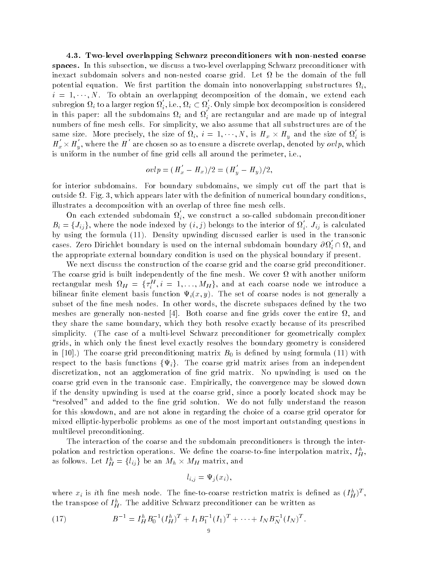4.3. Two-level overlapping Schwarz preconditioners with non-nested coarse spaces. In this subsection, we discuss a two-level overlapping Schwarz preconditioner with inexact subdomain solvers and non nested coarse grid- Let be the domain of the full potential equation- We rst partition the domain into nonoverlapping substructures i  $i = 1, \cdots, N$  . To obtain an overlapping decomposition of the domain, we extend each subregion  $\Omega_i$  to a larger region  $\Omega_i,$  i.e.,  $\Omega_i \subset \Omega_i.$  Only simple box decomposition is considered in this paper: all the subdomains  $\Omega_i$  and  $\Omega_i$  are rectangular and are made up of integral numbers of ne mesh cells- For simplicity we also assume that all substructures are of the same size. More precisely, the size of  $\Omega_i$ ,  $i=1,\cdots,N$ , is  $H_x \times H_y$  and the size of  $\Omega_i$  is  $H_{x}^{'}\times H_{y}^{'} ,$  where the  $H^{'}$  are chosen so as to ensure a discrete overlap, denoted by  $ovlp,$  which is uniform in the number of ne grid cells all around the perimeter i-e-

$$
ovlp = (H'_x - H_x)/2 = (H'_y - H_y)/2,
$$

for interior subdomains- For boundary subdomains we simply cut o the part that is outside - Fig. -, which appears in the denition of numerical boundary conditions of numerical boundary conditions illustrates a decomposition with an overlap of three fine mesh cells.

On each extended subdomain  $\Omega_i$ , we construct a so-called subdomain preconditioner  $B_i = \{J_{ij}\},$  where the node indexed by  $(i,j)$  belongs to the interior of  $\Omega_i$ .  $J_{ij}$  is calculated by using the formula 

- Density upwinding discussed earlier is used in the transonic cases. Zero Dirichlet boundary is used on the internal subdomain boundary  $\partial\Omega_i\cap\Omega,$  and the appropriate external boundary condition is used on the physical boundary if present-

We next discuss the construction of the coarse grid and the coarse grid preconditioner.  $T$  . The cover is built independent of the network of the neutral independent  $\mathbb{R}$ rectangular mesh  $\Omega_H$  =  $\{\tau^H_i, i = 1, \ldots, M_H\}$ , and at each coarse node we introduce a  $\sum_{i=1}^{n}$  because the set of  $\sum_{i=1}^{n}$   $\sum_{i=1}^{n}$   $\sum_{i=1}^{n}$   $\sum_{i=1}^{n}$   $\sum_{i=1}^{n}$   $\sum_{i=1}^{n}$   $\sum_{i=1}^{n}$   $\sum_{i=1}^{n}$   $\sum_{i=1}^{n}$   $\sum_{i=1}^{n}$   $\sum_{i=1}^{n}$   $\sum_{i=1}^{n}$   $\sum_{i=1}^{n}$   $\sum_{i=1}^{n}$   $\sum_{i=1$ subset of the ne mesh nodes- In other words the discrete subspaces dened by the two meshes are generally non nested - Both coarse and ne grids cover the entire and they share the same boundary which they both resolve exactly because of its prescribed simplicity- The case of a multi level Schwarz preconditioner for geometrically complex grids, in which only the finest level exactly resolves the boundary geometry is considered in (i.e., and control  $\bigcap_{i=1}^n$  is denoted by using the conditioning formula  $\bigcup_{i=1}^n$  is denoted formula  $\bigcap_{i=1}^n$  . The condition respect to the basis functions  $\{\Psi_i\}$ . The coarse grid matrix arises from an independent discretization not a grid matrix-discretization of  $N$  upwinding is used on the grid matrix-discretization on the  $N$ coarse grid coarse in the transferred case- management in the convergence may be slowed down to if the density upwinding is used at the coarse grid, since a poorly located shock may be resolved and added to the ne grid solution- We do not fully understand the reason for this slowdown and are not alone in regarding the choice of a coarse grid operator for mixed elliptic-hyperbolic problems as one of the most important outstanding questions in multilevel preconditioning-

The interaction of the coarse and the subdomain preconditioners is through the inter polation and restriction operations. We define the coarse-to-fine interpolation matrix,  $I_{H}^{\perp},$ as follows. Let  $I_H^h = \{l_{ij}\}$  be an  $M_h \times M_H$  matrix, and

$$
l_{i,j} = \Psi_j(x_i),
$$

where  $x_i$  is the line mesh node. The line-to-coarse restriction matrix is defined as  $(T_H^T)^+$ , the transpose of  $I_H^{\alpha}$ . The additive Schwarz preconditioner can be written as

(17) 
$$
B^{-1} = I_H^h B_0^{-1} (I_H^h)^T + I_1 B_1^{-1} (I_1)^T + \cdots + I_N B_N^{-1} (I_N)^T.
$$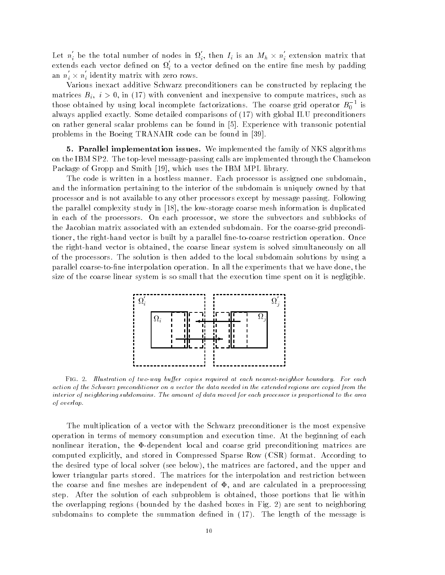Let  $n_i$  be the total number of nodes in  $\Omega_i$ , then  $I_i$  is an  $M_h \times n_i$  extension matrix that extends each vector defined on  $\Omega_i$  to a vector defined on the entire fine mesh by padding an  $n_i \times n_i$  identity matrix with zero rows.

Various inexact additive Schwarz preconditioners can be constructed by replacing the matrices  $B_i$ ,  $i > 0$ , in (17) with convenient and inexpensive to compute matrices, such as those obtained by using local incomplete factorizations. The coarse grid operator  $B_0$  ' is always applied to the comparisons of the comparisons of the comparisons of the comparisons of the comparisons o on rather general scalar problems can be found in - Experience with transonic potential problems in the Boeing TRANAIR code can be found in  $[39]$ .

**5. Parallel implementation issues.** We implemented the family of NKS algorithms on the IBM SP-C message  $\alpha$  is the top calls are interesting through the Champlet through the Chameleon through Package of Gropp and Smith [19], which uses the IBM MPL library.

The code is written in a hostless manner- Each processor is assigned one subdomain and the information pertaining to the interior of the subdomain is uniquely owned by that processor and is not available to any other processors except by message passing- Following the parallel complexity study in [18], the low-storage coarse mesh information is duplicated in each of the processors- On each processor we store the subvectors and subblocks of the Jacobian matrix associated with an extended subdomain-the coarses subdomain-the coarses preconditions of tioner the right hand vector is built by a parallel ne to coarse restriction operation- Once the right-hand vector is obtained, the coarse linear system is solved simultaneously on all of the processors for solution is the solution is the solution added to the local subdomaintary in the local s parallel coarse interpretation-interpretation-interpretation-interpretation-interpretation-interpretation-interpretation-interpretation-interpretation-interpretation-interpretation-interpretation-interpretation-interpretat size of the coarse linear system is so small that the execution time spent on it is negligible-



Fig -- Il lustration of two way buer copies required at each nearest neighbor boundary For each action of the Schwarz preconditioner on a vector the data needed in the extended regions are copied from the interior of neighboring subdomains. The amount of data moved for each processor is proportional to the area of overlap

The multiplication of a vector with the Schwarz preconditioner is the most expensive operation in terms of memory consumption and execution time- At the beginning of each nonlinear iteration, the  $\Phi$ -dependent local and coarse grid preconditioning matrices are computed explicitly and stored in Compressed Sparse Row CSR format- According to the desired type of local solver (see below), the matrices are factored, and the upper and lower triangular parts stored- The matrices for the interpolation and restriction between the coarse and fine meshes are independent of  $\Phi$ , and are calculated in a preprocessing step- After the solution of each subproblem is obtained those portions that lie within the overlapping regions bounded by the dashed boxes in Fig- are sent to neighboring subdomains to complete the summation dened in 
- The length of the message is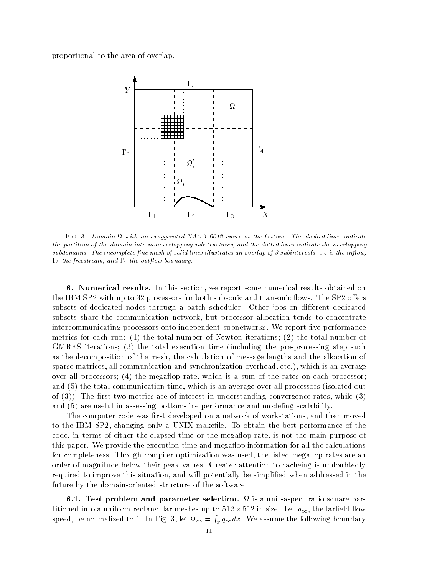proportional to the area of overlap-



Fig - Domain with an exaggerated NACA  curve at the bottom The dashed lines indicate the partition of the domain into nonoverlapping substructures
 and the dotted lines indicate the overlapping subdomains The incomplete  $\mathbf i$  lustrates and overlap of solid lines in overlap of subintervals - inour lustrates and  $\Gamma_5$  the freestream, and  $\Gamma_4$  the outflow boundary.

 Numerical results In this section we report some numerical results obtained on the IBM SP with up to the processors for both subsonic and transportations for the SP of the SP of the SP of the SP of the SP of the SP of the SP of the SP of the SP of the SP of the SP of the SP of the SP of the SP of the subsets of dedicated nodes through a batch scheduler- Other jobs on di erent dedicated subsets share the communication network but processor allocation tends to concentrate intercommunicating processors onto independent subnetworks- We report ve performance metrics for each run: (1) the total number of Newton iterations; (2) the total number of GMRES iterations;  $(3)$  the total execution time (including the pre-processing step such as the decomposition of the mesh, the calculation of message lengths and the allocation of sparse matrices all communication and synchronization overhead etc- which is an average over all processors;  $(4)$  the megaflop rate, which is a sum of the rates on each processor; and  $(5)$  the total communication time, which is an average over all processors (isolated out of - The rst two metrics are of interest in understanding convergence rates while and (5) are useful in assessing bottom-line performance and modeling scalability.

The computer code was first developed on a network of workstations, and then moved to the IBM SP changing the IBM Section the state of the best performance of the code, in terms of either the elapsed time or the megaflop rate, is not the main purpose of this paper- we provide this measurement in the execution  $\alpha$  and  $\alpha$  and  $\alpha$  and  $\alpha$ for completeness- Though compiler optimization was used the listed megaop rates are an order of magnitude below their peak values- Greater attention to cacheing is undoubtedly required to improve this situation, and will potentially be simplified when addressed in the future by the domain-oriented structure of the software.

Test problem and parameters selection is a unit and the parameter  $\mathcal{L}_{\mathcal{A}}$ titioned into a uniform rectangular meshes up to 512  $\times$  512 in size. Let  $q_{\infty},$  the farfield flow speed to the normalized to the contract of the contract of the contract of the contract of the contract of the contract of the contract of the contract of the contract of the contract of the contract of the contract of the **Report Follows**  $x$  advance the following boundary  $\alpha$  assume  $\alpha$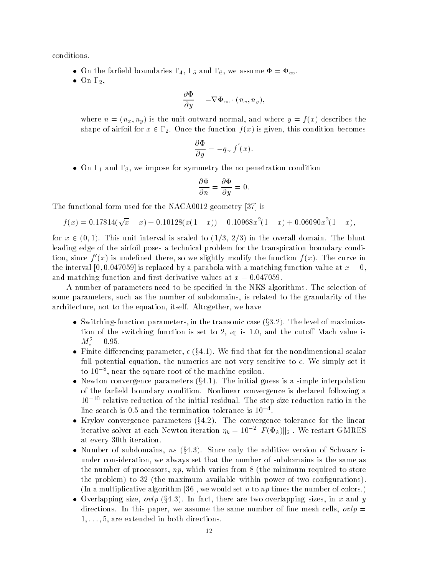conditions-

- $\bullet\,$  On the farmeld boundaries 14, 15 and 16, we assume  $\Phi=\Psi_\infty.$
- $\bullet$  Un  $1_2,$

$$
\frac{\partial \Phi}{\partial y} = -\nabla \Phi_{\infty} \cdot (n_x, n_y),
$$

where  $n = (n_x, n_y)$  is the unit outward normal, and where  $y = f(x)$  describes the shape of airfoil for  $x \in \Gamma_2$ . Once the function  $f(x)$  is given, this condition becomes

$$
\frac{\partial \Phi}{\partial y} = -q_{\infty} f'(x).
$$

 $\bullet$  Un 1  $_1$  and 1  $_3$ , we impose for symmetry the no penetration condition

$$
\frac{\partial \Phi}{\partial n} = \frac{\partial \Phi}{\partial y} = 0.
$$

The functional form used for the NACA0012 geometry  $[37]$  is

$$
f(x) = 0.17814(\sqrt{x} - x) + 0.10128(x(1 - x)) - 0.10968x^{2}(1 - x) + 0.06090x^{3}(1 - x),
$$

for  $x \in (0,1)$ . This unit interval is scaled to  $(1/3, 2/3)$  in the overall domain. The blunt leading edge of the airfoil poses a technical problem for the transpiration boundary condi tion, since  $f(x)$  is undenned there, so we slightly modify the function  $f(x)$ . The curve in the interval is replaced by a parabola with a matching function  $\Delta$  matching function  $\alpha$  at  $\alpha$ and matching function and results at  $\alpha$  and  $\alpha$  at  $\alpha$  -results at  $\alpha$  -results at  $\alpha$ 

A number of parameters need to be specied in the NKS algorithms- The selection of some parameters, such as the number of subdomains, is related to the granularity of the architecture not to the equation itself- we have the extent we have to

- $\bullet\,$  Switching-function parameters, in the transonic case (§3.2). The level of maximiza- $\ldots$  . The switching function is set to set  $\ldots$  set  $\ldots$  and the cutoff measure is  $\ldots$  $M_c^- = 0.95$ .
- Finite differencing parameter,  $\epsilon$  (§4.1). We find that for the nondimensional scalar full potential equation the numerics are not very sensitive to - We simply set it to near the square root of the machine epsilon-
- Newton convergence parameters (§4.1). The initial guess is a simple interpolation of the fareld boundary condition-  $N$ To the relative reduction of the initial residual. The step size reduction ratio in the  $\scriptstyle\rm III$  ine search is  $\scriptstyle\rm 0.5$  and the termination tolerance is TU  $\scriptstyle\rm T$  .
- Krylov convergence parameters (§4.2). The convergence tolerance for the linear iterative solver at each Newton iteration  $\eta_k = 10^{-2} \| F(\Phi_k) \|_2$  . We restart GMRES at every 30th iteration.
- Number of subdomains,  $ns$  (§4.3). Since only the additive version of Schwarz is under consideration, we always set that the number of subdomains is the same as the number of processors,  $np$ , which varies from 8 (the minimum required to store the problem) to  $32$  (the maximum available within power-of-two configurations). In a multiplicative algorithm we would set <sup>n</sup> to np times the number of colors-
- Overlapping size,  $ovlp$  (§4.3). In fact, there are two overlapping sizes, in x and y and this paper we assume the same this paper we assume the same of new cells over the same of the same of the - - - are extended in both directions-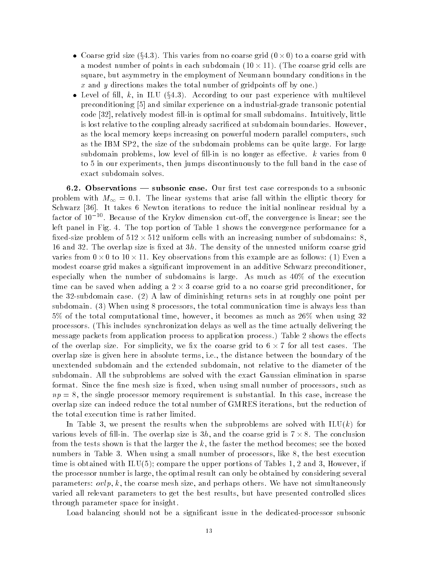- Coarse grid size (§4.3). This varies from no coarse grid ( $0\times 0$ ) to a coarse grid with a modest number of points in each subdomain (TU $\times$  11). (The coarse grid cells are square, but asymmetry in the employment of Neumann boundary conditions in the  $\alpha$  and  $\beta$  and the total number the total number of the gridpoints of  $\alpha$  , and  $\beta$
- Level of fill, k, in ILU (§4.3). According to our past experience with multilevel preconditioning  $\left[5\right]$  and similar experience on a industrial-grade transonic potential code relatively modest ll in is optimal for small subdomains- Intuitively little is lost relative to the coupling already sacriced at subdomain boundaries- However as the local memory keeps increasing on powerful modern parallel computers, such as the IBM SP the size of the subdomain problems can be quite large- For large subdomain problems is a control of line in the longer as every control is a control to the control of the control of to 5 in our experiments, then jumps discontinuously to the full band in the case of exact subdomain solves-

 $\blacksquare$ problem with M  $_{\odot}$  , arise fall with the elliptical views that with the electronic theory for the electronic stations it the iteration is the initial three continuous to reduce the initial between the initial nonractor of Tu TT. Because of the Krylov dimension cut-on, the convergence is finear; see the elect panel in Fig. of Fine cop portion of Factor Formance for a performance for a performance for a fixed-size problem of  $512 \times 512$  uniform cells with an increasing number of subdomains: 8, and density size is the overlap size is the size of the uniform coarse at the uniform coarse  $\pi$ varies from  $0\times 0$  to  $10\times 11$ . Key observations from this example are as follows: (1) Even a modest coarse grid makes a significant improvement in an additive Schwarz preconditioner, especially when the number of subdomains is large- As much as " of the execution time can be saved when adding a  $2 \times 3$  coarse grid to a no coarse grid preconditioner, for  $\mathcal{L}$  is a law of diminishing returns sets in at roughly one point per point per point per point  $\mathcal{L}$  $\mathcal{M} = \mathcal{M}$  using the total communication time is always less than  $\mathcal{M}$  $5\%$  of the total computational time, however, it becomes as much as  $26\%$  when using 32 processors- Includes synchronization delays as well as the time actually delivering the time actually deliverin message packets from application process to application process- Table shows the e ects of the overlap size. For simplicity, we fix the coarse grid to b  $\times$   $\prime$  for all test cases. The overlap size is given here in absolute terms i-the distance between the the distance between the the boundary unextended subdomain and the extended subdomain not relative to the diameter of the subdomain- All the subproblems are solved with the exact Gaussian elimination in sparse format- Since the ne mesh size is xed when using small number of processors such as np the single process memory requirement is substantial-memory requirement in this case  $\sim$ overlap size can indeed reduce the total number of GMRES iterations but the reduction of the total execution time is rather limited-

In Table 3, we present the results when the subproblems are solved with  $\text{ILU}(k)$  for various levels of fill-in. The overlap size is  $3h,$  and the coarse grid is (  $\times$  8. The conclusion from the tests shown is that the larger the  $k$ , the faster the method becomes; see the boxed numbers in Table - When using a small number of processors like  $\mathbb{R}^n$ time is obtained with  $ILU(5)$ ; compare the upper portions of Tables 1, 2 and 3, However, if the processor number is large, the optimal result can only be obtained by considering several parameters ovlp k the coarse mesh size and perhaps others- We have not simultaneously varied all relevant parameters to get the best results, but have presented controlled slices through parameter space for insight.

Load balancing should not be a significant issue in the dedicated-processor subsonic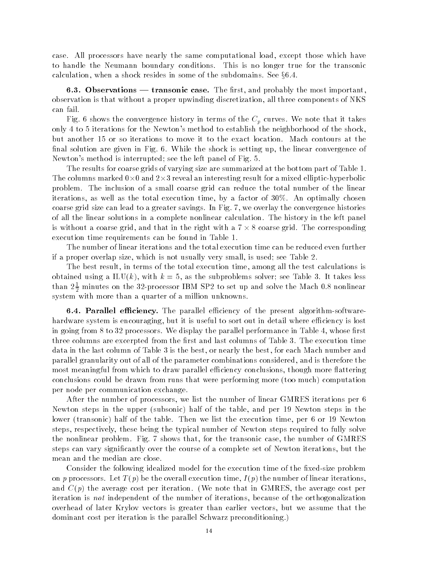case- All processors have nearly the same computational load except those which have to handle the Neumann boundary conditions- This is no longer true for the transonic calculation, when a shock resides in some of the subdomains. See  $\S6.4.$ 

 $\blacksquare$  observations the rst and probably the most important the most important important important important important important important important important important important important important important important im observation is that without a proper upwinding discretization, all three components of NKS can fail-

request the convergence motion, in terms of the convergence in the Company of the Convergence of the Company only 4 to 5 iterations for the Newton's method to establish the neighborhood of the shock,  $\mathcal{W}$  - While the shock is setting up the shock is setting up the linear convergence of  $\mathcal{W}$ Newtons method is interrupted see the left panel of Fig- -

The results for coarse grids of varying size are summarized at the bottom part of Table 1. The columns marked  $0\times 0$  and  $2\times 3$  reveal an interesting result for a mixed elliptic-hyperbolic  $\mathbf{r}$ iterations as well as the total execution time by a factor of "- An optimally chosen coarse grid size can lead to a greater savings-lead to a virtuely the collection and the convergence of all the linear solutions in a complete nonlinear calculation- The history in the left panel is without a coarse grid, and that in the right with a (  $\times$  8 coarse grid. The corresponding  $$ execution time requirements can be found in Table 1.

The number of linear iterations and the total execution time can be reduced even further if a proper overlap size, which is not usually very small, is used; see Table 2.

The best result, in terms of the total execution time, among all the test calculations is obtained using a ILUK with k as the subproblems solver solver solver seemed at the subproblems and than  $2\frac{\pi}{2}$  minutes on the 32-processor IBM SP2 to set up and solve the Mach 0.8 nonlinear system with more than a quarter of a million unknowns.

 Parallel eciency The parallel eciency of the present algorithm software hardware system is encouraging, but it is useful to sort out in detail where efficiency is lost in going from the processors-the mopen, the performance performance in Table 1996. three columns are excerpted from the rst and last columns of Table - The execution time data in the last column of Table 3 is the best, or nearly the best, for each Mach number and parallel granularity out of all of the parameter combinations considered and is therefore the most meaningful from which to draw parallel efficiency conclusions, though more flattering conclusions could be drawn from runs that were performing more (too much) computation per node per communication exchange-

After the number of processors, we list the number of linear GMRES iterations per 6 Newton steps in the upper (subsonic) half of the table, and per 19 Newton steps in the lower transonic half of the table- Then we list the execution time per or 
 Newton steps, respectively, these being the typical number of Newton steps required to fully solve the nonlinear problem- Fig- shows that for the transonic case the number of GMRES steps can vary signicantly over the course of a complete set of Newton iterations but the mean and the median are close-

Consider the following idealized model for the execution time of the fixed-size problem on p p b b be the overall executive properties in the overall executive in the number of linear iterations in t and Cp the average cost per iteration- that in group cost in GMRES the average cost per s iteration is *not* independent of the number of iterations, because of the orthogonalization overhead of later Krylov vectors is greater than earlier vectors but we assume that the dominant cost per iteration is the parallel Schwarz preconditioning-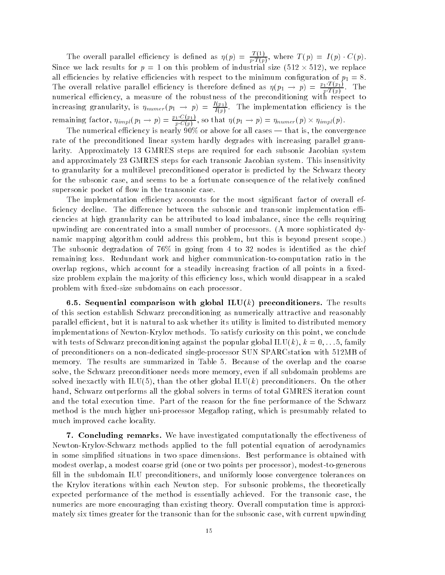The overall parallel efficiency is defined as  $\eta(p) = \frac{1}{\sqrt{p}}$ ,  $\frac{p}{p}T(p)$ , where  $I(p) - I(p) \cdot \cup (p)$ . Since we lack results for  $p = 1$  on this problem of industrial size  $(512 \times 512)$ , we replace all economics by relative economics with respect to the minimum conductor of  $p_{\perp}$  -  $\sim$ The overall relative parallel efficiency is therefore defined as  $\eta(p_1 \to p) = \frac{F_T(p_1)}{p(T(p_1))}$ .  $p \cdot I(p)$ numerical eciency a measure of the robustness of the preconditioning with respect to increasing granularity, is  $\eta_{numer}(p_1 \rightarrow p) = \frac{p_1 p_2}{f(p_1)}$ .  $I(p)$  is the implementation equation equation experimentation experimentation experimentation experimentation of  $\mathcal{I}$ remaining factor,  $\eta_{impl}(p_1 \rightarrow p) = \frac{p_1-p_1+p_1}{p_1-(p_1)}$ , s  $\frac{p}{p \cdot C(p)}$ , so that  $\eta(p_1 \rightarrow p) = \eta_{numer}(p) \times \eta_{impl}(p)$ .

The numerical efficiency is nearly  $90\%$  or above for all cases — that is, the convergence rate of the preconditioned linear system hardly degrades with increasing parallel granu larity- Approximately 
 GMRES steps are required for each subsonic Jacobian system and approximately go structure steps for each transportation systems of the common steps for each transitivity to granularity for a multilevel preconditioned operator is predicted by the Schwarz theory for the subsonic case, and seems to be a fortunate consequence of the relatively confined supersonic pocket of flow in the transonic case.

The implementation efficiency accounts for the most significant factor of overall efciency decline- The di erence between the subsonic and transonic implementation e ciencies at high granularity can be attributed to load imbalance, since the cells requiring upwinding are concentrated into a small number of processors- A more sophisticated dy namic mapping algorithm could address this problem but this is beyond present scope- The subsonic degradation of  $76\%$  in going from 4 to 32 nodes is identified as the chief remaining reduce work and higher communications ratio in the computation ratio in the computation ratio in the overlap regions, which account for a steadily increasing fraction of all points in a fixedsize problem explain the majority of this efficiency loss, which would disappear in a scaled problem with fixed-size subdomains on each processor.

 Sequential comparison with global ILU-k preconditioners The results of this section establish Schwarz preconditioning as numerically attractive and reasonably parallel efficient, but it is natural to ask whether its utility is limited to distributed memory implementations of Newton Krylov methods- To satisfy curiosity on this point we conclude with tests of Schwarz preconditioning against the popular group and  $\mathbf{r}_1, \ldots, \mathbf{r}_n, \ldots, \mathbf{r}_n, \ldots, \mathbf{r}_n$ of preconditioners on a non-dedicated single-processor SUN SPARCstation with 512MB of memory-term are summarized in Table - the results are summarized in Table - the overlap and the overlap and th solve, the Schwarz preconditioner needs more memory, even if all subdomain problems are solved interacting with ILU that is a complete other global ILUC preconditioners - and the other hand, Schwarz outperforms all the global solvers in terms of total GMRES iteration count and the total execution time- Part of the reason for the ne performance of the Schwarz method is the much higher uni-processor Megaflop rating, which is presumably related to much improved cache locality-

 Concluding remarks We have investigated computationally the e ectiveness of Newton-Krylov-Schwarz methods applied to the full potential equation of aerodynamics in some simplied situations in two space dimensions- Best performance is obtained with modest overlap, a modest coarse grid (one or two points per processor), modest-to-generous fill in the subdomain ILU preconditioners, and uniformly loose convergence tolerances on the Krylov iterations within each Iterations with the theoretically problems the theoretically expected performance of the method is essentially achieved- For the transonic case the numerics are more encouraging than existing theory- Overall computation time is approxi mately six times greater for the transonic than for the subsonic case, with current upwinding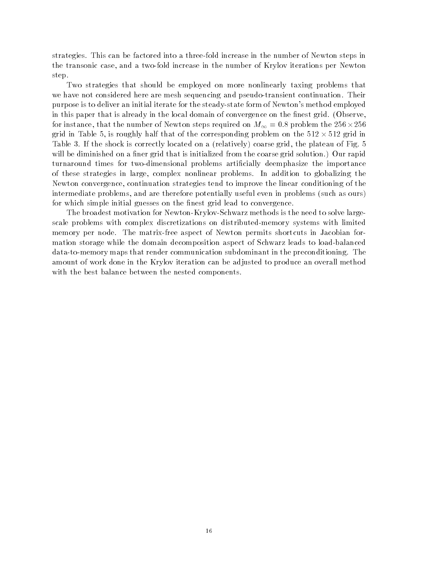strategies- This can be factored into a three fold increase in the number of Newton steps in the transonic case, and a two-fold increase in the number of Krylov iterations per Newton step.

Two strategies that should be employed on more nonlinearly taxing problems that we have not considered here are mesh sequencing and pseudonal continuation-continuationpurpose is to deliver an initial iterate for the steady-state form of Newton's method employed in this paper that is already in the local domain of convergence on the nest grid- Observe for instance, that the number of Newton steps required on  $M_{\infty}=$  0.8 problem the 256  $\times$  256  $\,$ grid in Table 5, is roughly half that of the corresponding problem on the  $512 \times 512$  grid in Table - If the shock is correctly located on a relatively correctly relatively coarse grid the plateau of  $\Gamma$ will be diminished on a new grid that is initially solution that is in the coarse grid solutionturnaround times for two-dimensional problems artificially deemphasize the importance of these strategies in large complex nonlinear problems- In addition to globalizing the Newton convergence, continuation strategies tend to improve the linear conditioning of the intermediate problems, and are therefore potentially useful even in problems (such as ours) for which simple initial guesses on the finest grid lead to convergence.

The broadest motivation for Newton-Krylov-Schwarz methods is the need to solve largescale problems with complex discretizations on distributed-memory systems with limited memory per node- per not matrix shortcuts shortcuts in Indian for Newton and Indian formation for mation storage while the domain decomposition aspect of Schwarz leads to load-balanced data to me the computation subdominant communication subdominant in the preconditioning- which amount of work done in the Krylov iteration can be adjusted to produce an overall method with the best balance between the nested components.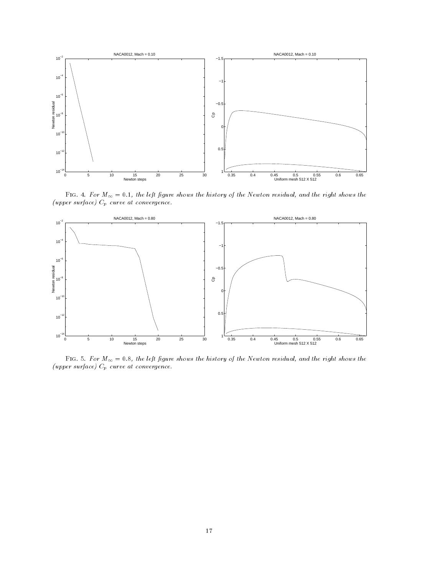

Figure shows the left in right shows the history of the Figure shows the right shows the model (upper surface)  $C_p$  curve at convergence.



Figure shows the left right shows the history of the Figure shows the right shows the model  $(upper\ surface)\ C_p$  curve at convergence.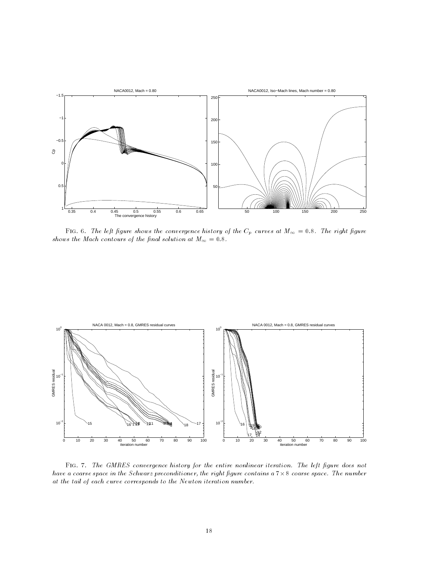

Figure shows the left convergence in the convergence of the Cp curves at M-Cp curves at M-Cp curves at M-Cp cu shows the Mach contours of the nal solution at M- 



Figure - The GMRES convergence history for the entire non-linear iteration The left  $\mathcal{A}$ have a coarse space in the Schwarz preconditioner, the right figure contains a  $7 \times 8$  coarse space. The number at the tail of each curve corresponds to the Newton iteration number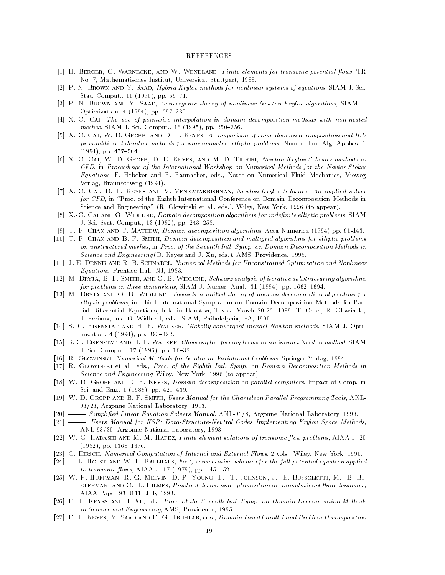#### REFERENCES

- [1] H. BERGER, G. WARNECKE, AND W. WENDLAND, Finite elements for transonic potential flows, TR No- Mathematisches Institut Universitat Stuttgart -
- p a strait mand in the Hyprid Krylov methods for nonlinear systems of equations in the strait  $\sim$ state-based on the computation of the computation of the computation of the computation of the computation of the computation of the computation of the computation of the computation of the computation of the computation o
- P N Brown and Y Saad Convergence theory of nonlinear Newton Krylov algorithms SIAM J- $\blacksquare$  . The property of the property of the property of the property of the property of the property of the property of the property of the property of the property of the property of the property of the property of the
- X C Cai The use of pointwise interpolation in domain decomposition methods with non nested meshes SIAM J- Sci- Comput- 
 pp- 

-
- [5] X.-C. CAI, W. D. GROPP, AND D. E. KEYES, A comparison of some domain decomposition and ILU precent iterative methods include the method guidance in the problems is allowed alone the problems  $\mathbf{r}$  $\mathbf{v}$  , and  $\mathbf{v}$  are the set of  $\mathbf{v}$
- X C Cai W D Gropp D E Keyes and M D Tidriri Newton Krylov Schwarz methods in CFD in Proceedings of the International Workshop on Numerical Methods for the Navier Stokes Equations F- Hebeker and R- Rannacher eds- Notes on Numerical Fluid Mechanics Vieweg Verlag, Braunschweig (1994).
- X C Cai D E Keyes and V Venkatakrishnan Newton Krylov Schwarz An implicit solver for CFD in Proc- of the Eighth International Conference on Domain Decomposition Methods in Science and Engineering R- Glowinski et al- eds- Wiley New York to appear-
- [8] X.-C. CAI AND O. WIDLUND, Domain decomposition algorithms for indefinite elliptic problems, SIAM  $\blacksquare$  . The state-state-state-state-state-state-state-state-state-state-state-state-state-state-state-state-state-state-state-state-state-state-state-state-state-state-state-state-state-state-state-state-state-state-stat
- r protestant and the channel of the composition and the component of the component  $\mathcal{C}$
- [10] T. F. CHAN AND B. F. SMITH, Domain decomposition and multigrid algorithms for elliptic problems on unstructured meshes, in Proc. of the Seventh Intl. Symp. on Domain Decomposition Methods in stille and Engineering L- Lieby to Mille and J-Mill, the L-Mille and D-Mille and J-Mille
- [11] J. E. DENNIS AND R. B. SCHNABEL, Numerical Methods for Unconstrained Optimization and Nonlinear equations and the extension of the present of the state of the state  $\mathcal{L}_1$
- [12] M. DRYJA, B. F. SMITH, AND O. B. WIDLUND, Schwarz analysis of iterative substructuring algorithms for problems in three dimensions SIAM J- Numer- Anal-  pp- -
- M Dryja and O B Widlund Towards a uni ed theory of domain decomposition algorithms for elliptic problems, in Third International Symposium on Domain Decomposition Methods for Partial Dierential Equations held in Houston Texas March T- Chan R- Glowinski J- Periaux and O- Widlund eds- SIAM Philadelphia PA -
- , s can be the first and the first of the Matters of Singles's since  $\mathcal{S}_1$  and  $\mathcal{S}_2$  are  $\mathcal{S}_3$  . The single single single single single single single single single single single single single single single sing  $\mathbf{p}$  and  $\mathbf{p}$  and  $\mathbf{p}$  and  $\mathbf{p}$  and  $\mathbf{p}$  and  $\mathbf{p}$  and  $\mathbf{p}$  and  $\mathbf{p}$  and  $\mathbf{p}$  and  $\mathbf{p}$  and  $\mathbf{p}$  and  $\mathbf{p}$  and  $\mathbf{p}$  and  $\mathbf{p}$  and  $\mathbf{p}$  and  $\mathbf{p}$  and  $\mathbf{p}$  and
- [15] S. C. EISENSTAT AND H. F. WALKER, Choosing the forcing terms in an inexact Newton method, SIAM J- Sci- Comput- pp- -
- [16] R. GLOWINSKI, Numerical Methods for Nonlinear Variational Problems, Springer-Verlag, 1984.
- R Glowinski et al- eds- Proc of the Eighth Intl Symp on Domain Decomposition Methods in Science and Engineering, Wiley, New York, 1996 (to appear).
- W D Gropp and D E Keyes Domain decomposition on paral lel computers Impact of Comp- in representation in the contract of the contract of the contract of the contract of the contract of the contract of the contract of the contract of the contract of the contract of the contract of the contract of the contract
- [19] W. D. GROPP AND B. F. SMITH, Users Manual for the Chameleon Parallel Programming Tools, ANL-Argonne National Laboratory -
- is a compliment of the Solvers Manual Andrews Manual Andrews Andrews Manual Andrews Manual Andrews (1988), and
- Users Manual for KSP Data Structure Neutral Codes Implementing Krylov Space Methods ANL Argonne National Laboratory -
- w G Habashi and M M M M M M M M M M M M M M M M M HAFF FINITE Solutions of the solutions of the solutions AIAA pp- -
- C Hirsch Numerical Computation of Internal and External Flowsvols- Wiley New York -
- [24] T. L. HOLST AND W. F. BALLHAUS, Fast, conservative schemes for the full potential equation applied to transonic ows AIAA J- pp- 

-
- [25] W. P. HUFFMAN, R. G. MELVIN, D. P. YOUNG, F. T. JOHNSON, J. E. BUSSOLETTI, M. B. BI-ETERMAN, AND C. L. HILMES, Practical design and optimization in computational fluid dynamics, AIAA Paper September 2008, AIAA Paper September 2008, AIAA Paper September 2008, AIAAA Paper September 2008, A
- , processed and the Seventh International Symptom Symptom Decomposition Methods and Decomposition Methods and in Science and Engineering, AMS, Providence, 1995.
- D E Keyes Y Saad and D G Truhlar eds- Domain based Paral lel and Problem Decomposition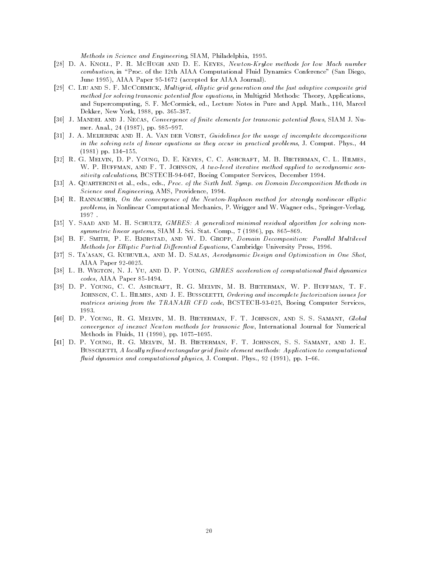Methods in Science and Engineering, SIAM, Philadelphia, 1995.

- d a knoll personal province and D E Keyes And D E Keyes All and D E Keyes All and the low Mach number of the M combustion in Processe and the the theories computations at the theories conference sandware san Diego June 1995), AIAA Paper 95-1672 (accepted for AIAA Journal).
- [29] C. LIU AND S. F. MCCORMICK, Multigrid, elliptic grid generation and the fast adaptive composite grid method for solving transonic potential flow equations, in Multigrid Methods: Theory, Applications, and Supercomputing S- Parameter and Apple-Mathematic Process in Pure and Apple-Mathematic Procession dekker New York is a set of the set of the set of the set of the set of the set of the set of the set of the s
- lool of milliple time of theolic, convergence of human chemicine for mandomic benenna howel priting of that th  $\mathbf{r}$  and  $\mathbf{r}$  and  $\mathbf{r}$  and  $\mathbf{r}$  and  $\mathbf{r}$  and  $\mathbf{r}$  and  $\mathbf{r}$  and  $\mathbf{r}$  and  $\mathbf{r}$  and  $\mathbf{r}$  and  $\mathbf{r}$  and  $\mathbf{r}$  and  $\mathbf{r}$  and  $\mathbf{r}$  and  $\mathbf{r}$  and  $\mathbf{r}$  and  $\mathbf{r}$  and
- J A Meijerink and H A Van der Vorst Guidelines for the usage of incomplete decompositions in the solving sets of linear equations as they occur in practical problems of somepast way all we pp- 

-
- R G Melvin D P Young D E Keyes C C Ashcraft M B Bieterman C L Hilmes w P Huffman and F T Johnson A two A two A two A two A two A two A two A two A two A two A two A two A two A two sitivity calculations, BCSTECH-94-047, Boeing Computer Services, December 1994.
- A Quarteroni et al- eds- eds- Proc of the Sixth Intl Symp on Domain Decomposition Methods in Science and Engineering, AMS, Providence, 1994.
- R Rannacher On the convergence of the Newton Raphson method for strongly nonlinear el liptic problems in Nonlinear Computational Mechanics P- Wrigger and W- Wagner eds- SpringerVerlag  $199?$ .
- Y Saad and M H Schultz GMRES A generalized minimal residual algorithm for solving non systems Si $\sim$  1.1 A  $\sim$  1.1 B  $\sim$
- B F Smith P E Bjrstad and W D Gropp Domain Decomposition Paral lel Multilevel Methods for Elliptic Partial Differential Equations, Cambridge University Press, 1996.
- S Taasan G Kuruvila and M D Salas Aerodynamic Design and Optimization in One Shot AIAA Paper 92-0025.
- L B Wigton N J Yu and D P Young GMRES acceleration of computational uid dynamics  $codes, AIAA Paper~85-1494.$
- D P Young C C Ashcraft R G Melvin M B Bieterman W P Huffman T F JOHNSON, C. L. HILMES, AND J. E. BUSSOLETTI, Ordering and incomplete factorization issues for matrices arising from the TRANAIR CFD code BCSTECH TRANSPORTS Services Services Services
- [40] D. P. YOUNG, R. G. MELVIN, M. B. BIETERMAN, F. T. JOHNSON, AND S. S. SAMANT, Global convergence of inexact Newton methods for transonic flow, International Journal for Numerical methods in Fluids in Fluids in Fluids in Fluids in Fluids in Fluids in Fluids in Fluids in Fluids in Fluids in
- [41] D. P. Young, R. G. Melvin, M. B. Bieterman, F. T. Johnson, S. S. Samant, and J. E. BUSSOLETTI, A locally refined rectangular grid finite element methods: Application to computational , and agreement and computational progress of the part of the part of  $\mathcal{P}$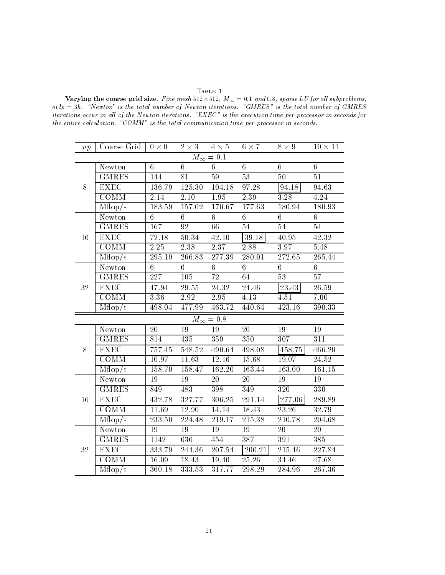#### $\mbox{T}_\text{ABLE}$  1

 $\alpha$  , and the coarse grid size  $\alpha$  . The mesh is also the mesh in the subproblems of  $\alpha$ ovlp h Newton is the total number of Newton iterations GMRES is the total number of GMRES iterations occur in all of the Newton iterations. " $EXEC"$  is the execution time per processor in seconds for the entire calculation. "COMM" is the total communication time per processor in seconds.

| np                          | Coarse Grid $\vert 0 \times 0 \vert$ |                     |                   |                    | $2 \times 3$ $4 \times 5$ $6 \times 7$ | $8 \times 9$ $10 \times 11$ |                 |  |
|-----------------------------|--------------------------------------|---------------------|-------------------|--------------------|----------------------------------------|-----------------------------|-----------------|--|
| $\overline{M_{\infty}}=0.1$ |                                      |                     |                   |                    |                                        |                             |                 |  |
|                             | Newton                               | 6                   | 6                 | $6\phantom{.0}$    | $6\phantom{.}$                         | $6\phantom{.}$              | $\sqrt{6}$      |  |
|                             | <b>GMRES</b>                         | 144                 | $\overline{81}$   | 59                 | 53                                     | 50                          | $\overline{51}$ |  |
| $8\,$                       | EXEC                                 | 136.79              | 125.30            | 104.18             | 97.28                                  | 94.18                       | 94.63           |  |
|                             | COMM                                 | 2.14                | 2.10              | 1.95               | 2.39                                   | $\overline{3.28}$           | 4.24            |  |
|                             | Mflop/s                              | 183.59              | 157.02            | 170.67             | 177.63                                 | 180.94                      | 180.93          |  |
|                             | Newton                               | 6                   | 6                 | 6 <sup>1</sup>     | 6                                      | $6\phantom{.0}$             | $6\phantom{.0}$ |  |
|                             | <b>GMRES</b>                         | 167                 | 92                | 66                 | 54                                     | 54                          | 54              |  |
| 16                          | EXEC                                 | 72.18               | 50.34             | 42.10              | 39.18                                  | 40.95                       | 42.32           |  |
|                             | $\overline{\mathrm{COMM}}$           | 2.25                | $\overline{2.38}$ | 2.37               | 2.88                                   | $\overline{3.97}$           | 5.48            |  |
|                             | Mflop/s                              | 295.19              | 266.83            | 277.39             | 280.01                                 | 272.65                      | 265.44          |  |
|                             | Newton                               | $6\phantom{.}$      | $6\phantom{.0}$   | $6\phantom{.0}$    | $6\,$                                  | $6\phantom{.}$              | $6\phantom{.}$  |  |
|                             | <b>GMRES</b>                         | $\overline{227}$    | 105               | $\overline{72}$    | 64                                     | 53                          | $\overline{57}$ |  |
| $32\,$                      | ${\rm EXEC}$                         | 47.94               | 29.55             | 24.32              | 24.46                                  | 23.43                       | $26.59\,$       |  |
|                             | COMM                                 | 3.36                | 2.92              | 2.95               | 4.13                                   | 4.51                        | 7.00            |  |
|                             | Mflop/s                              | 498.04              | 477.99            | 463.72             | 440.64                                 | 423.16                      | 390.33          |  |
|                             |                                      |                     |                   | $M_{\infty} = 0.8$ |                                        |                             |                 |  |
|                             | Newton                               | 20                  | 19                | 19                 | 20                                     | 19                          | 19              |  |
|                             | <b>GMRES</b>                         | 814                 | 435               | 359                | 350                                    | 307                         | 311             |  |
| 8                           | $EXE\overline{C}$                    | 757.45              | 548.52            | 490.64             | 498.08                                 | 458.75                      | 466.20          |  |
|                             | COMM                                 | $\overline{10.97}$  | 11.63             | 12.16              | 15.68                                  | 19.07                       | 24.52           |  |
|                             | Mflop/s                              | 158.70              | 158.47            | 162.20             | 163.44                                 | 163.00                      | 161.15          |  |
|                             | Newton                               | 19                  | $\overline{19}$   | 20                 | 20                                     | 19                          | 19              |  |
|                             | <b>GMRES</b>                         | 849                 | 483               | 398                | 349                                    | 320                         | 330             |  |
| 16                          | EXEC                                 | 432.78              | 327.77            | 306.25             | 291.14                                 | 277.06                      | 289.89          |  |
|                             | <b>COMM</b>                          | 11.69               | 12.90             | 14.14              | 18.43                                  | 23.26                       | 32.79           |  |
|                             | Mflop/s                              | $\overline{233.50}$ | 224.48            | 219.17             | 215.38                                 | 210.78                      | 204.68          |  |
|                             | Newton                               | $\overline{19}$     | 19                | 19                 | 19                                     | $\overline{20}$             | 20              |  |
|                             | <b>GMRES</b>                         | 1142                | 636               | 454                | 387                                    | 391                         | 385             |  |
| $32\,$                      | <b>EXEC</b>                          | 333.79              | 244.36            | 207.54             | 200.21                                 | 215.46                      | 227.84          |  |
|                             | COMM                                 | 16.09               | 18.43             | 19.40              | 25.26                                  | 34.46                       | 47.68           |  |
|                             | $M\overline{\text{flop/s}}$          | 360.18              | 333.53            | 317.77             | 298.29                                 | 284.96                      | 267.36          |  |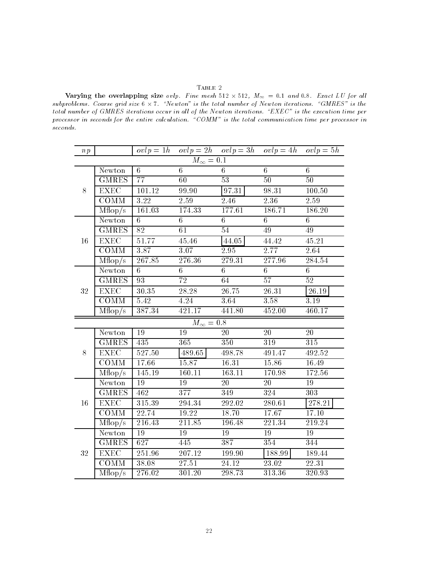### ${\bf Table ~2}$

vary the overlapping the ovlp Fine mesh and the size  $\omega$  and  $\omega$  all  $\omega$  and  $\omega$  all  $\omega$  and  $\omega$ subproblems. Coarse grid size  $6 \times 7$ . "Newton" is the total number of Newton iterations. "GMRES" is the total number of GMRES iterations occur in all of the Newton iterations. "EXEC" is the execution time per processor in seconds for the entire calculation. "COMM" is the total communication time per processor in seconds

| np                 |                             |           |                  |                 | $ovlp = 1h$ $ovlp = 2h$ $ovlp = 3h$ $ovlp = 4h$ $ovlp = 5h$ |                 |  |  |
|--------------------|-----------------------------|-----------|------------------|-----------------|-------------------------------------------------------------|-----------------|--|--|
| $M_{\infty} = 0.1$ |                             |           |                  |                 |                                                             |                 |  |  |
|                    | Newton                      | 6         | 6                | 6               | 6                                                           | 6               |  |  |
| $8\,$              | <b>GMRES</b>                | 77        | 60               | $\overline{53}$ | 50                                                          | $\overline{50}$ |  |  |
|                    | <b>EXEC</b>                 | 101.12    | 99.90            | $97.31\,$       | 98.31                                                       | 100.50          |  |  |
|                    | COMM                        | 3.22      | 2.59             | 2.46            | 2.36                                                        | 2.59            |  |  |
|                    | Mflop/s                     | 161.03    | 174.33           | 177.61          | 186.71                                                      | 186.20          |  |  |
|                    | Newton                      | 6         | $6\phantom{.}$   | $6\phantom{.}$  | $6\phantom{.}$                                              | $6\phantom{.}$  |  |  |
|                    | <b>GMRES</b>                | 82        | $\overline{61}$  | $\overline{54}$ | 49                                                          | 49              |  |  |
| 16                 | EXEC                        | 51.77     | 45.46            | 44.05           | 44.42                                                       | 45.21           |  |  |
|                    | COMM                        | 3.87      | 3.07             | 2.95            | 2.77                                                        | 2.64            |  |  |
|                    | Mflop/s                     | 267.85    | 276.36           | 279.31          | 277.96                                                      | 284.54          |  |  |
|                    | Newton                      | 6         | 6                | $6\phantom{.}$  | 6                                                           | 6               |  |  |
|                    | <b>GMRES</b>                | 93        | 72               | $\overline{64}$ | 57                                                          | 52              |  |  |
| 32                 | <b>EXEC</b>                 | $30.35\,$ | $28.28\,$        | $26.75\,$       | 26.31                                                       | $26.19\,$       |  |  |
|                    | <b>COMM</b>                 | 5.42      | 4.24             | 3.64            | 3.58                                                        | 3.19            |  |  |
|                    | Mflop/s                     | 387.34    | 421.17           | 441.80          | 452.00                                                      | 460.17          |  |  |
| $M_{\infty} = 0.8$ |                             |           |                  |                 |                                                             |                 |  |  |
|                    | Newton                      | 19        | 19               | 20              | 20                                                          | $20\,$          |  |  |
|                    | <b>GMRES</b>                | 435       | 365              | 350             | 319                                                         | 315             |  |  |
| $8\,$              | EXEC                        | 527.50    | 489.65           | 498.78          | 491.47                                                      | 492.52          |  |  |
|                    | COMM                        | 17.66     | 15.87            | 16.31           | 15.86                                                       | 16.49           |  |  |
|                    | Mflop/s                     | 145.19    | 160.11           | 163.11          | 170.98                                                      | 172.56          |  |  |
|                    | Newton                      | 19        | 19               | 20              | $20\,$                                                      | 19              |  |  |
|                    | <b>GMRES</b>                | 462       | $\overline{377}$ | 349             | $\overline{324}$                                            | 303             |  |  |
| 16                 | <b>EXEC</b>                 | 315.39    | 294.34           | 292.02          | 280.61                                                      | 278.21          |  |  |
|                    | COMM                        | 22.74     | 19.22            | 18.70           | 17.67                                                       | 17.10           |  |  |
|                    | $\overline{\text{Mflop}}/s$ | 216.43    | 211.85           | 196.48          | 221.34                                                      | 219.24          |  |  |
|                    | Newton                      | 19        | 19               | 19              | 19                                                          | 19              |  |  |
|                    | <b>GMRES</b>                | 627       | 445              | 387             | $35\overline{4}$                                            | 344             |  |  |
| $32\,$             | <b>EXEC</b>                 | 251.96    | $207.12\,$       | 199.90          | 188.99                                                      | 189.44          |  |  |
|                    | COMM                        | 38.08     | 27.51            | 24.12           | $23.02\,$                                                   | 22.31           |  |  |
|                    | Mflop/s                     | 276.02    | 301.20           | 298.73          | 313.36                                                      | 320.93          |  |  |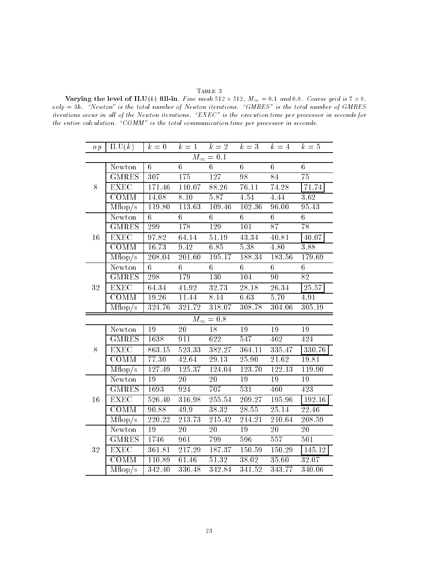#### ${\bf Table ~3}$

 $\alpha$  in Fig. , and the latter state mesh is the coarse of  $\alpha$  and  $\alpha$  and  $\alpha$  and  $\alpha$  is an order  $\alpha$  is the coarse grid is a set of  $\alpha$ ovlp h Newton is the total number of Newton iterations GMRES is the total number of GMRES iterations occur in all of the Newton iterations. " $EXEC"$  is the execution time per processor in seconds for the entire calculation. "COMM" is the total communication time per processor in seconds.

|                    | $np \mid \text{ILU}(k) \mid k = 0 \quad k = 1 \quad k = 2 \quad k = 3 \quad k = 4 \quad k = 5$ |                 |                      |                              |                      |                 |                   |  |
|--------------------|------------------------------------------------------------------------------------------------|-----------------|----------------------|------------------------------|----------------------|-----------------|-------------------|--|
| $M_{\infty} = 0.1$ |                                                                                                |                 |                      |                              |                      |                 |                   |  |
|                    | Newton                                                                                         | $6\phantom{.}6$ | $6\overline{6}$      | $6\overline{6}$              | $\overline{6}$       | $\overline{6}$  | 6                 |  |
|                    | <b>GMRES</b>                                                                                   | 307             | 175                  | 127                          | 98                   | 84              | 75                |  |
| $8\,$              | <b>EXEC</b>                                                                                    | 171.46          | 110.07 88.26         |                              | 76.11                | 74.28           | $\boxed{71.74}$   |  |
|                    | $\overline{\text{COMM}}$                                                                       | 14.08           | 8.10                 | 5.87                         | 4.54                 | 4.44            | $\overline{3.62}$ |  |
|                    | Mflop/s                                                                                        | 119.80          | 113.63               | 109.46                       | 102.36               | 96.00           | 95.43             |  |
|                    | Newton                                                                                         | 6               | 6                    | 6                            | 6                    | 6               | $6\phantom{.0}$   |  |
|                    | <b>GMRES</b>                                                                                   | 299             | 178                  | 129                          | 101                  | 87              | 78                |  |
| 16                 | <b>EXEC</b>                                                                                    | 97.82           | 64.14                | 51.19                        | 43.34                | 40.81           | 40.07             |  |
|                    | COMM                                                                                           | 16.73           | 9.42                 | 6.85                         | 5.38                 | 4.80            | 3.88              |  |
|                    | $\overline{\text{Mflop/s}}$                                                                    | 208.04          | 201.60               | 195.17                       | 188.34               | 183.56          | 179.69            |  |
|                    | Newton                                                                                         | 6               | 6                    | 6                            | 6                    | $6 -$           | 6                 |  |
| 32                 | <b>GMRES</b>                                                                                   | 298             | 179                  | 130                          | 104                  | 90              | $\overline{82}$   |  |
|                    | <b>EXEC</b>                                                                                    |                 | 64.34 41.92 32.73    |                              | $\overline{28.18}$   | 26.34           | 25.57             |  |
|                    | $\overline{COMM}$                                                                              | 19.26           | 11.44                | 8.14                         | 6.63                 | 5.70            | 4.91              |  |
|                    | Mflop/s                                                                                        | 324.76          |                      |                              | 321.72 318.07 308.78 | 304.06          | 305.19            |  |
| $M_{\infty} = 0.8$ |                                                                                                |                 |                      |                              |                      |                 |                   |  |
|                    | Newton                                                                                         | 19              |                      | 18                           | 19                   | 19              | 19                |  |
|                    | GMRES <sup>1</sup>                                                                             | 1638            |                      | 911 622                      | 547                  | 462             | 424               |  |
| $8\,$              | <b>EXEC</b>                                                                                    | 863.15          | 523.33               | 382.27                       | 364.11               | 335.47          | 330.76            |  |
|                    | COMM                                                                                           | 77.30           | 42.64                | 29.13                        | 25.90                | 21.62           | 19.81             |  |
|                    | Mflop/s                                                                                        | 127.49          | 125.37 124.04        |                              | 123.70               | 122.13          | 119.90            |  |
| 16                 | Newton                                                                                         | 19              | 20                   | 20                           | 19                   | 19              | 19                |  |
|                    | <b>GMRES</b>                                                                                   | 1693            | 924                  | 707                          | $\overline{531}$     | 460             | 423               |  |
|                    | <b>EXEC</b>                                                                                    | 526.40          |                      | $316.\overline{98}$ $255.54$ |                      | $209.27$ 195.96 | 192.16            |  |
|                    | COMM                                                                                           | 90.88           | 49.9                 | 38.32                        | 28.55                | 25.14           | 22.46             |  |
|                    | Mflop/s                                                                                        | 220.22          | 213.73               | 215.42                       | 214.21               | 210.64          | 208.59            |  |
|                    | Newton                                                                                         | 19              | $\overline{20}$      | $\overline{20}$              | $\overline{19}$      | $\overline{20}$ | 20                |  |
|                    | <b>GMRES</b>                                                                                   | 1746            | 961                  | 799                          | 596                  | 557             | 501               |  |
| 32                 | <b>EXEC</b>                                                                                    |                 | 361.81 217.29 187.37 |                              |                      | 150.59 150.29   | $\sqrt{145.12}$   |  |
|                    | $\mathop{\mathrm{COMM}}$                                                                       |                 | 110.89 61.46 51.32   |                              | 38.02 35.60          |                 | 32.07             |  |
|                    | Mflop/s                                                                                        | 342.40          | 336.48               | 342.84                       | 341.52               | 343.77          | 340.06            |  |